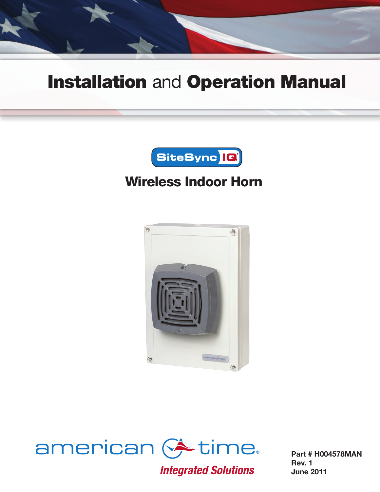

# Installation and Operation Manual



# Wireless Indoor Horn





**Integrated Solutions** 

Part # H004578MAN Rev. 1 June 2011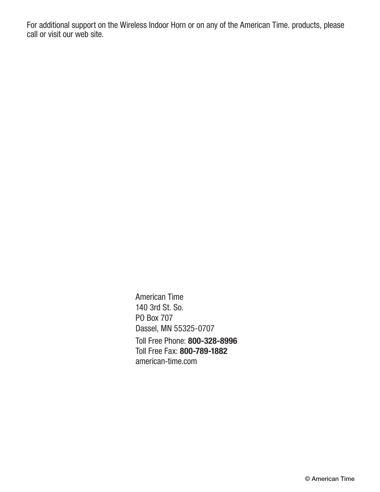For additional support on the Wireless Indoor Horn or on any of the American Time. products, please call or visit our web site.

> American Time 140 3rd St. So. PO Box 707 Dassel, MN 55325-0707 Toll Free Phone: 800-328-8996 Toll Free Fax: 800-789-1882 [american-time.com](http://www.atsclock.com)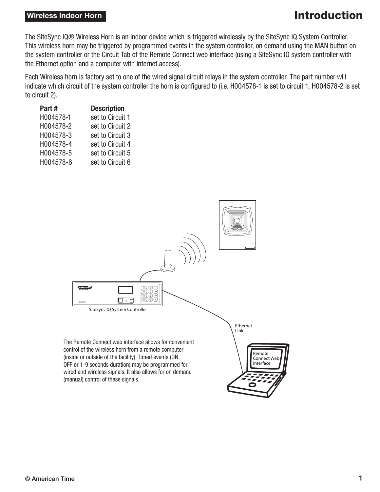#### **Wireless Indoor Horn Introduction**

The SiteSync IQ® Wireless Horn is an indoor device which is triggered wirelessly by the SiteSync IQ System Controller. This wireless horn may be triggered by programmed events in the system controller, on demand using the MAN button on the system controller or the Circuit Tab of the Remote Connect web interface (using a SiteSync IQ system controller with the Ethernet option and a computer with internet access).

Each Wireless horn is factory set to one of the wired signal circuit relays in the system controller. The part number will indicate which circuit of the system controller the horn is configured to (i.e. H004578-1 is set to circuit 1, H004578-2 is set to circuit 2).

| Part#     | <b>Description</b> |
|-----------|--------------------|
| H004578-1 | set to Circuit 1   |
| H004578-2 | set to Circuit 2   |
| H004578-3 | set to Circuit 3   |
| H004578-4 | set to Circuit 4   |
| H004578-5 | set to Circuit 5   |
| H004578-6 | set to Circuit 6   |
|           |                    |

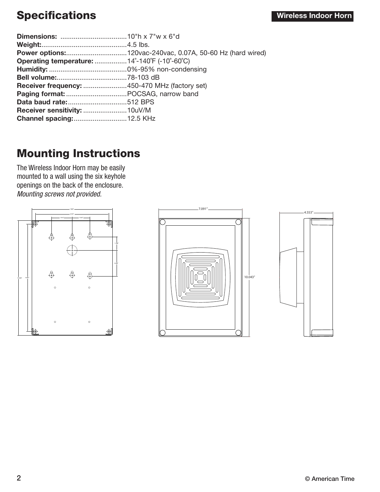## Specifications **Specifications Specifications**

| Operating temperature: 14°-140°F (-10°-60°C)  |
|-----------------------------------------------|
|                                               |
|                                               |
| Receiver frequency: 450-470 MHz (factory set) |
|                                               |
|                                               |
|                                               |
| <b>Channel spacing:  12.5 KHz</b>             |
|                                               |

#### Mounting Instructions

The Wireless Indoor Horn may be easily mounted to a wall using the six keyhole openings on the back of the enclosure. *Mounting screws not provided.*





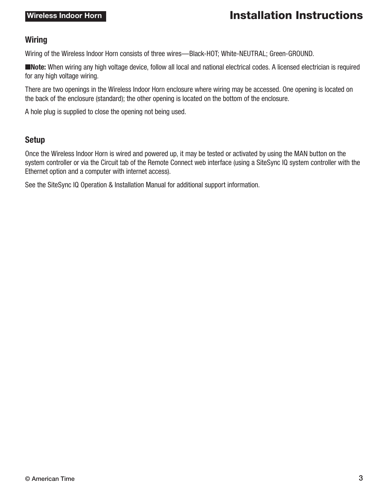#### Wireless Indoor Horn **Installation Instructions**

#### **Wiring**

Wiring of the Wireless Indoor Horn consists of three wires—Black-HOT; White-NEUTRAL; Green-GROUND.

■Note: When wiring any high voltage device, follow all local and national electrical codes. A licensed electrician is required for any high voltage wiring.

There are two openings in the Wireless Indoor Horn enclosure where wiring may be accessed. One opening is located on the back of the enclosure (standard); the other opening is located on the bottom of the enclosure.

A hole plug is supplied to close the opening not being used.

#### Setup

Once the Wireless Indoor Horn is wired and powered up, it may be tested or activated by using the MAN button on the system controller or via the Circuit tab of the Remote Connect web interface (using a SiteSync IQ system controller with the Ethernet option and a computer with internet access).

See the SiteSync IQ Operation & Installation Manual for additional support information.